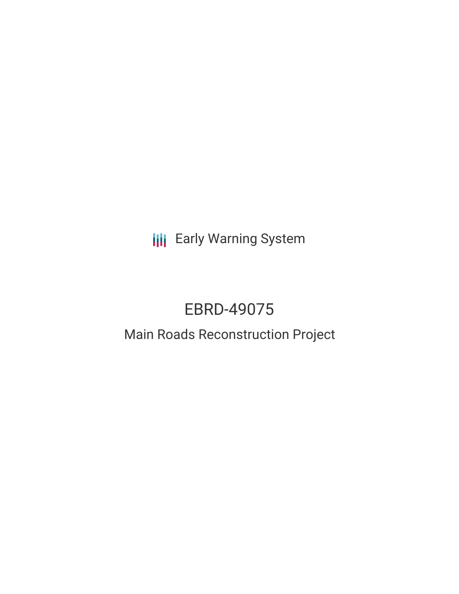**III** Early Warning System

# EBRD-49075

## Main Roads Reconstruction Project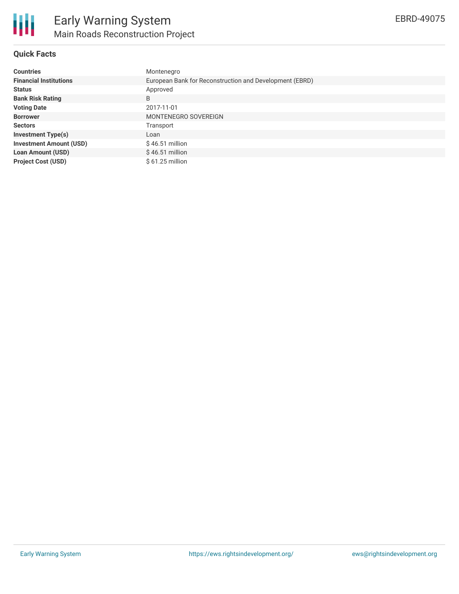

## **Quick Facts**

| <b>Countries</b>               | Montenegro                                              |
|--------------------------------|---------------------------------------------------------|
| <b>Financial Institutions</b>  | European Bank for Reconstruction and Development (EBRD) |
| <b>Status</b>                  | Approved                                                |
| <b>Bank Risk Rating</b>        | B                                                       |
| <b>Voting Date</b>             | 2017-11-01                                              |
| <b>Borrower</b>                | MONTENEGRO SOVEREIGN                                    |
| <b>Sectors</b>                 | Transport                                               |
| <b>Investment Type(s)</b>      | Loan                                                    |
| <b>Investment Amount (USD)</b> | $$46.51$ million                                        |
| <b>Loan Amount (USD)</b>       | $$46.51$ million                                        |
| <b>Project Cost (USD)</b>      | $$61.25$ million                                        |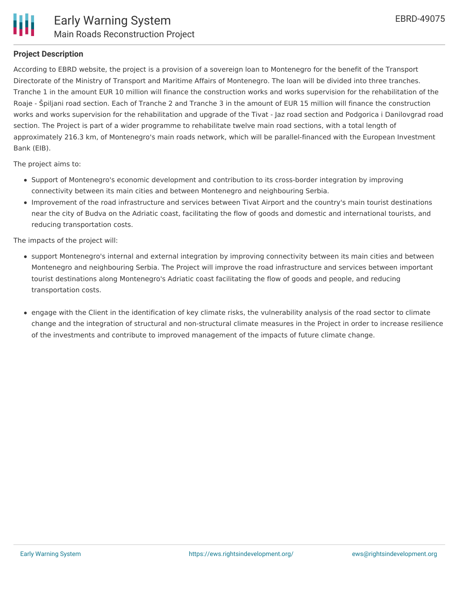

## **Project Description**

According to EBRD website, the project is a provision of a sovereign loan to Montenegro for the benefit of the Transport Directorate of the Ministry of Transport and Maritime Affairs of Montenegro. The loan will be divided into three tranches. Tranche 1 in the amount EUR 10 million will finance the construction works and works supervision for the rehabilitation of the Roaje - Špiljani road section. Each of Tranche 2 and Tranche 3 in the amount of EUR 15 million will finance the construction works and works supervision for the rehabilitation and upgrade of the Tivat - Jaz road section and Podgorica i Danilovgrad road section. The Project is part of a wider programme to rehabilitate twelve main road sections, with a total length of approximately 216.3 km, of Montenegro's main roads network, which will be parallel-financed with the European Investment Bank (EIB).

The project aims to:

- Support of Montenegro's economic development and contribution to its cross-border integration by improving connectivity between its main cities and between Montenegro and neighbouring Serbia.
- Improvement of the road infrastructure and services between Tivat Airport and the country's main tourist destinations near the city of Budva on the Adriatic coast, facilitating the flow of goods and domestic and international tourists, and reducing transportation costs.

The impacts of the project will:

- support Montenegro's internal and external integration by improving connectivity between its main cities and between Montenegro and neighbouring Serbia. The Project will improve the road infrastructure and services between important tourist destinations along Montenegro's Adriatic coast facilitating the flow of goods and people, and reducing transportation costs.
- engage with the Client in the identification of key climate risks, the vulnerability analysis of the road sector to climate change and the integration of structural and non-structural climate measures in the Project in order to increase resilience of the investments and contribute to improved management of the impacts of future climate change.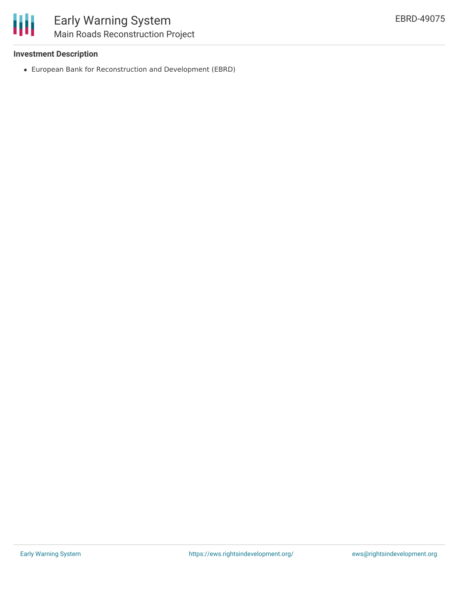### **Investment Description**

European Bank for Reconstruction and Development (EBRD)